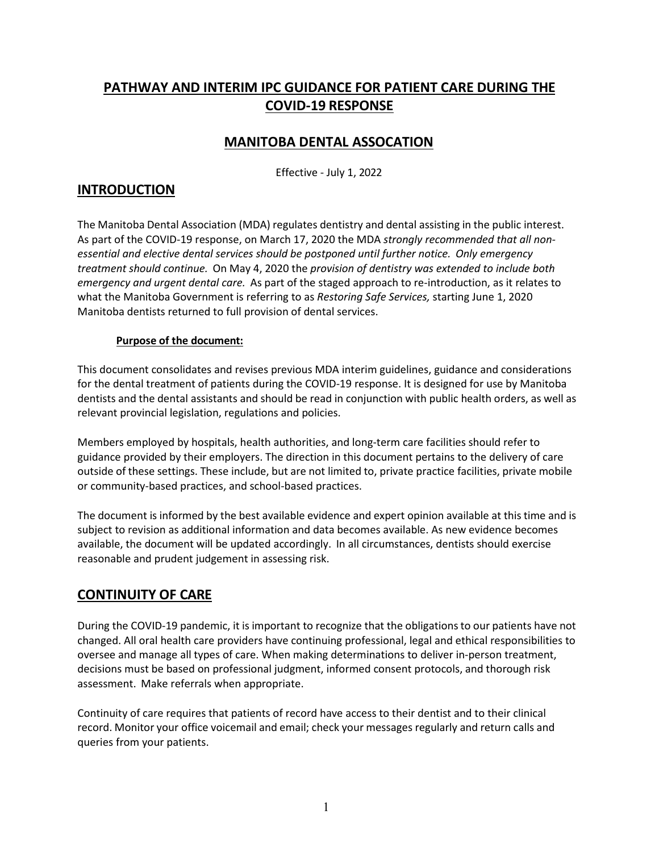# **PATHWAY AND INTERIM IPC GUIDANCE FOR PATIENT CARE DURING THE COVID-19 RESPONSE**

# **MANITOBA DENTAL ASSOCATION**

Effective - July 1, 2022

## **INTRODUCTION**

The Manitoba Dental Association (MDA) regulates dentistry and dental assisting in the public interest. As part of the COVID-19 response, on March 17, 2020 the MDA *strongly recommended that all nonessential and elective dental services should be postponed until further notice. Only emergency treatment should continue.* On May 4, 2020 the *provision of dentistry was extended to include both emergency and urgent dental care.* As part of the staged approach to re-introduction, as it relates to what the Manitoba Government is referring to as *Restoring Safe Services,* starting June 1, 2020 Manitoba dentists returned to full provision of dental services.

#### **Purpose of the document:**

This document consolidates and revises previous MDA interim guidelines, guidance and considerations for the dental treatment of patients during the COVID-19 response. It is designed for use by Manitoba dentists and the dental assistants and should be read in conjunction with public health orders, as well as relevant provincial legislation, regulations and policies.

Members employed by hospitals, health authorities, and long-term care facilities should refer to guidance provided by their employers. The direction in this document pertains to the delivery of care outside of these settings. These include, but are not limited to, private practice facilities, private mobile or community-based practices, and school-based practices.

The document is informed by the best available evidence and expert opinion available at this time and is subject to revision as additional information and data becomes available. As new evidence becomes available, the document will be updated accordingly. In all circumstances, dentists should exercise reasonable and prudent judgement in assessing risk.

## **CONTINUITY OF CARE**

During the COVID-19 pandemic, it is important to recognize that the obligationsto our patients have not changed. All oral health care providers have continuing professional, legal and ethical responsibilities to oversee and manage all types of care. When making determinations to deliver in-person treatment, decisions must be based on professional judgment, informed consent protocols, and thorough risk assessment. Make referrals when appropriate.

Continuity of care requires that patients of record have access to their dentist and to their clinical record. Monitor your office voicemail and email; check your messages regularly and return calls and queries from your patients.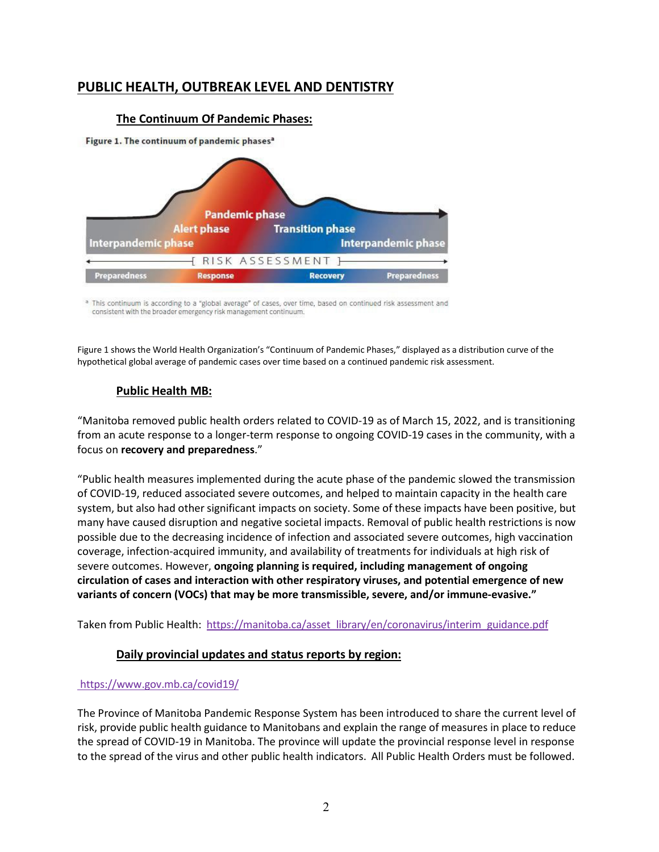# **PUBLIC HEALTH, OUTBREAK LEVEL AND DENTISTRY**

#### **The Continuum Of Pandemic Phases:**

Figure 1. The continuum of pandemic phases<sup>a</sup>



a This continuum is according to a "global average" of cases, over time, based on continued risk assessment and consistent with the broader emergency risk management continuum.

Figure 1 shows the World Health Organization's "Continuum of Pandemic Phases," displayed as a distribution curve of the hypothetical global average of pandemic cases over time based on a continued pandemic risk assessment.

## **Public Health MB:**

"Manitoba removed public health orders related to COVID-19 as of March 15, 2022, and is transitioning from an acute response to a longer-term response to ongoing COVID-19 cases in the community, with a focus on **recovery and preparedness**."

"Public health measures implemented during the acute phase of the pandemic slowed the transmission of COVID-19, reduced associated severe outcomes, and helped to maintain capacity in the health care system, but also had other significant impacts on society. Some of these impacts have been positive, but many have caused disruption and negative societal impacts. Removal of public health restrictions is now possible due to the decreasing incidence of infection and associated severe outcomes, high vaccination coverage, infection-acquired immunity, and availability of treatments for individuals at high risk of severe outcomes. However, **ongoing planning is required, including management of ongoing circulation of cases and interaction with other respiratory viruses, and potential emergence of new variants of concern (VOCs) that may be more transmissible, severe, and/or immune-evasive."**

Taken from Public Health: [https://manitoba.ca/asset\\_library/en/coronavirus/interim\\_guidance.pdf](https://manitoba.ca/asset_library/en/coronavirus/interim_guidance.pdf)

## **Daily provincial updates and status reports by region:**

#### <https://www.gov.mb.ca/covid19/>

The Province of Manitoba Pandemic Response System has been introduced to share the current level of risk, provide public health guidance to Manitobans and explain the range of measures in place to reduce the spread of COVID-19 in Manitoba. The province will update the provincial response level in response to the spread of the virus and other public health indicators. All Public Health Orders must be followed.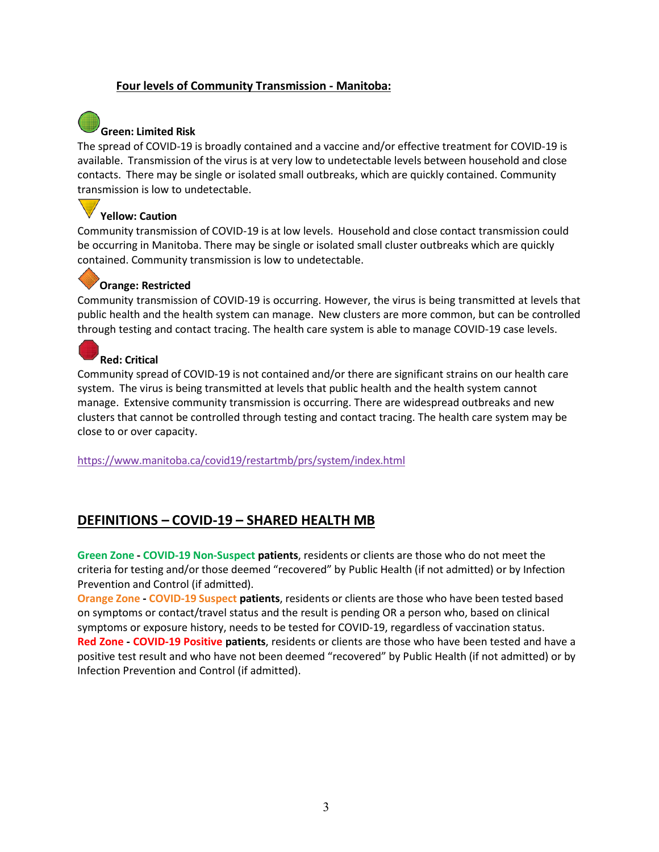## **Four levels of Community Transmission - Manitoba:**

# **Green: Limited Risk**

The spread of COVID-19 is broadly contained and a vaccine and/or effective treatment for COVID-19 is available. Transmission of the virus is at very low to undetectable levels between household and close contacts. There may be single or isolated small outbreaks, which are quickly contained. Community transmission is low to undetectable.

#### **Yellow: Caution**

Community transmission of COVID-19 is at low levels. Household and close contact transmission could be occurring in Manitoba. There may be single or isolated small cluster outbreaks which are quickly contained. Community transmission is low to undetectable.

#### **Orange: Restricted**

Community transmission of COVID-19 is occurring. However, the virus is being transmitted at levels that public health and the health system can manage. New clusters are more common, but can be controlled through testing and contact tracing. The health care system is able to manage COVID-19 case levels.

## **Red: Critical**

Community spread of COVID-19 is not contained and/or there are significant strains on our health care system. The virus is being transmitted at levels that public health and the health system cannot manage. Extensive community transmission is occurring. There are widespread outbreaks and new clusters that cannot be controlled through testing and contact tracing. The health care system may be close to or over capacity.

<https://www.manitoba.ca/covid19/restartmb/prs/system/index.html>

## **DEFINITIONS – COVID-19 – SHARED HEALTH MB**

**Green Zone - COVID-19 Non-Suspect patients**, residents or clients are those who do not meet the criteria for testing and/or those deemed "recovered" by Public Health (if not admitted) or by Infection Prevention and Control (if admitted).

**Orange Zone - COVID-19 Suspect patients**, residents or clients are those who have been tested based on symptoms or contact/travel status and the result is pending OR a person who, based on clinical symptoms or exposure history, needs to be tested for COVID-19, regardless of vaccination status. **Red Zone - COVID-19 Positive patients**, residents or clients are those who have been tested and have a positive test result and who have not been deemed "recovered" by Public Health (if not admitted) or by Infection Prevention and Control (if admitted).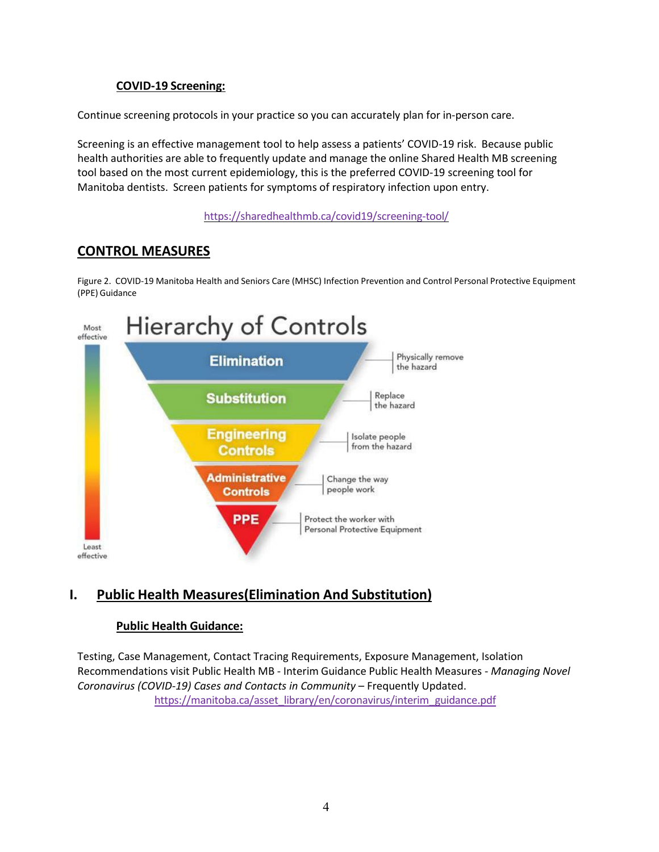## **COVID-19 Screening:**

Continue screening protocols in your practice so you can accurately plan for in-person care.

Screening is an effective management tool to help assess a patients' COVID-19 risk. Because public health authorities are able to frequently update and manage the online Shared Health MB screening tool based on the most current epidemiology, this is the preferred COVID-19 screening tool for Manitoba dentists. Screen patients for symptoms of respiratory infection upon entry.

<https://sharedhealthmb.ca/covid19/screening-tool/>

# **CONTROL MEASURES**

Figure 2. COVID-19 Manitoba Health and Seniors Care (MHSC) Infection Prevention and Control Personal Protective Equipment (PPE) Guidance



# **I. Public Health Measures(Elimination And Substitution)**

## **Public Health Guidance:**

Testing, Case Management, Contact Tracing Requirements, Exposure Management, Isolation Recommendations visit Public Health MB - Interim Guidance Public Health Measures - *Managing Novel Coronavirus (COVID-19) Cases and Contacts in Community - Frequently Updated.* [https://manitoba.ca/asset\\_library/en/coronavirus/interim\\_guidance.pdf](https://manitoba.ca/asset_library/en/coronavirus/interim_guidance.pdf)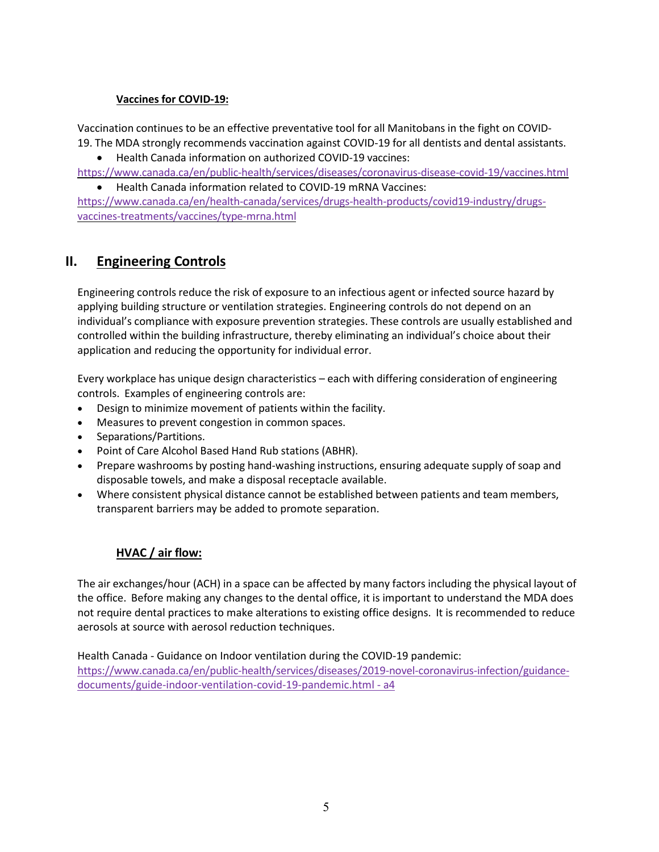#### **Vaccines for COVID-19:**

Vaccination continues to be an effective preventative tool for all Manitobans in the fight on COVID-19. The MDA strongly recommends vaccination against COVID-19 for all dentists and dental assistants.

• Health Canada information on authorized COVID-19 vaccines:

<https://www.canada.ca/en/public-health/services/diseases/coronavirus-disease-covid-19/vaccines.html>

• Health Canada information related to COVID-19 mRNA Vaccines:

[https://www.canada.ca/en/health-canada/services/drugs-health-products/covid19-industry/drugs](https://www.canada.ca/en/health-canada/services/drugs-health-products/covid19-industry/drugs-vaccines-treatments/vaccines/type-mrna.html)[vaccines-treatments/vaccines/type-mrna.html](https://www.canada.ca/en/health-canada/services/drugs-health-products/covid19-industry/drugs-vaccines-treatments/vaccines/type-mrna.html)

# **II. Engineering Controls**

Engineering controls reduce the risk of exposure to an infectious agent or infected source hazard by applying building structure or ventilation strategies. Engineering controls do not depend on an individual's compliance with exposure prevention strategies. These controls are usually established and controlled within the building infrastructure, thereby eliminating an individual's choice about their application and reducing the opportunity for individual error.

Every workplace has unique design characteristics – each with differing consideration of engineering controls. Examples of engineering controls are:

- Design to minimize movement of patients within the facility.
- Measures to prevent congestion in common spaces.
- Separations/Partitions.
- Point of Care Alcohol Based Hand Rub stations (ABHR).
- Prepare washrooms by posting hand-washing instructions, ensuring adequate supply of soap and disposable towels, and make a disposal receptacle available.
- Where consistent physical distance cannot be established between patients and team members, transparent barriers may be added to promote separation.

## **HVAC / air flow:**

The air exchanges/hour (ACH) in a space can be affected by many factors including the physical layout of the office. Before making any changes to the dental office, it is important to understand the MDA does not require dental practices to make alterations to existing office designs. It is recommended to reduce aerosols at source with aerosol reduction techniques.

Health Canada - Guidance on Indoor ventilation during the COVID-19 pandemic: [https://www.canada.ca/en/public-health/services/diseases/2019-novel-coronavirus-infection/guidance](https://www.canada.ca/en/public-health/services/diseases/2019-novel-coronavirus-infection/guidance-documents/guide-indoor-ventilation-covid-19-pandemic.html#a4)[documents/guide-indoor-ventilation-covid-19-pandemic.html - a4](https://www.canada.ca/en/public-health/services/diseases/2019-novel-coronavirus-infection/guidance-documents/guide-indoor-ventilation-covid-19-pandemic.html#a4)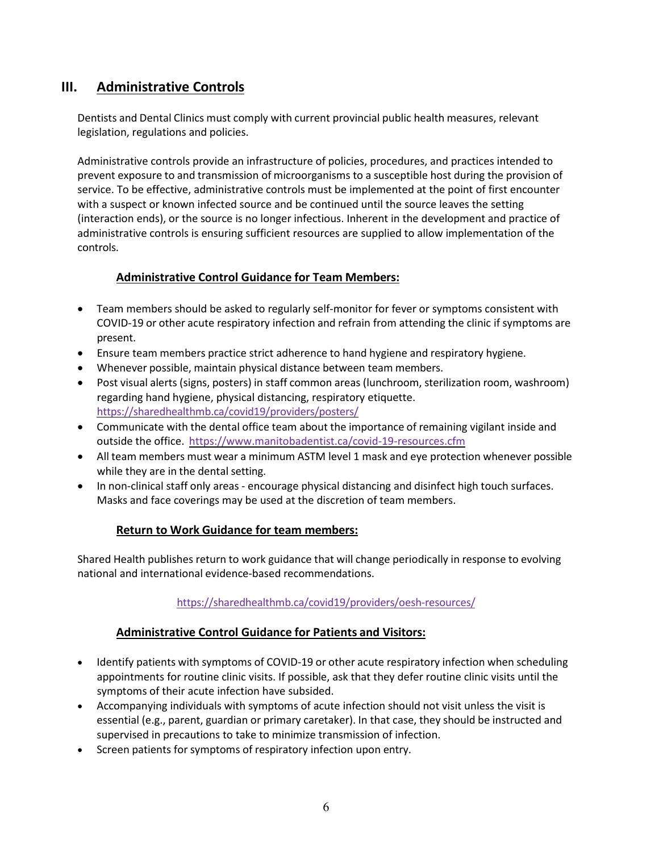# **III. Administrative Controls**

Dentists and Dental Clinics must comply with current provincial public health measures, relevant legislation, regulations and policies.

Administrative controls provide an infrastructure of policies, procedures, and practices intended to prevent exposure to and transmission of microorganisms to a susceptible host during the provision of service. To be effective, administrative controls must be implemented at the point of first encounter with a suspect or known infected source and be continued until the source leaves the setting (interaction ends), or the source is no longer infectious. Inherent in the development and practice of administrative controls is ensuring sufficient resources are supplied to allow implementation of the controls.

## **Administrative Control Guidance for Team Members:**

- Team members should be asked to regularly self-monitor for fever or symptoms consistent with COVID-19 or other acute respiratory infection and refrain from attending the clinic if symptoms are present.
- Ensure team members practice strict adherence to hand hygiene and respiratory hygiene.
- Whenever possible, maintain physical distance between team members.
- Post visual alerts (signs, posters) in staff common areas (lunchroom, sterilization room, washroom) regarding hand hygiene, physical distancing, respiratory etiquette. <https://sharedhealthmb.ca/covid19/providers/posters/>
- Communicate with the dental office team about the importance of remaining vigilant inside and outside the office. <https://www.manitobadentist.ca/covid-19-resources.cfm>
- All team members must wear a minimum ASTM level 1 mask and eye protection whenever possible while they are in the dental setting.
- In non-clinical staff only areas encourage physical distancing and disinfect high touch surfaces. Masks and face coverings may be used at the discretion of team members.

## **Return to Work Guidance for team members:**

Shared Health publishes return to work guidance that will change periodically in response to evolving national and international evidence-based recommendations.

#### <https://sharedhealthmb.ca/covid19/providers/oesh-resources/>

#### **Administrative Control Guidance for Patients and Visitors:**

- Identify patients with symptoms of COVID-19 or other acute respiratory infection when scheduling appointments for routine clinic visits. If possible, ask that they defer routine clinic visits until the symptoms of their acute infection have subsided.
- Accompanying individuals with symptoms of acute infection should not visit unless the visit is essential (e.g., parent, guardian or primary caretaker). In that case, they should be instructed and supervised in precautions to take to minimize transmission of infection.
- Screen patients for symptoms of respiratory infection upon entry.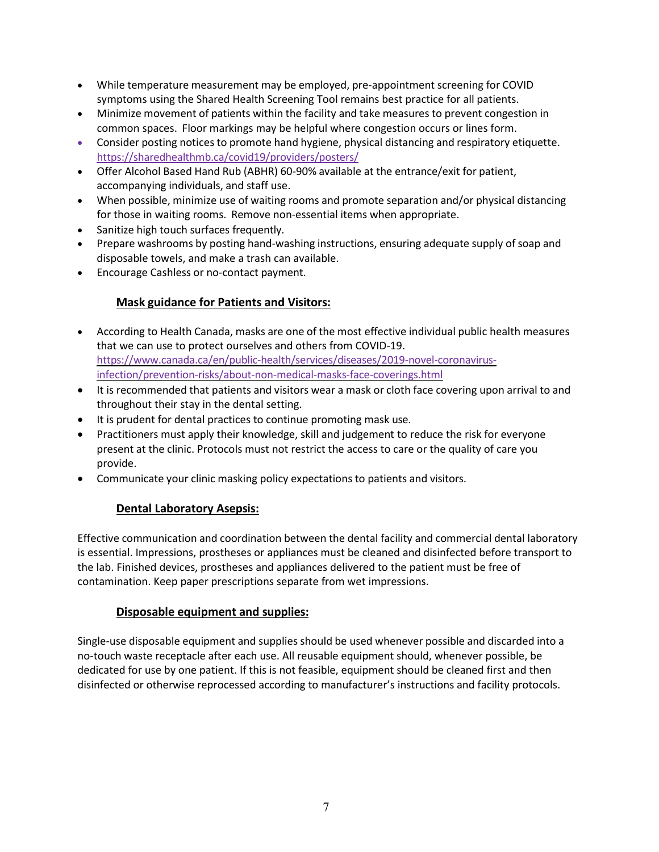- While temperature measurement may be employed, pre-appointment screening for COVID symptoms using the Shared Health Screening Tool remains best practice for all patients.
- Minimize movement of patients within the facility and take measures to prevent congestion in common spaces. Floor markings may be helpful where congestion occurs or lines form.
- Consider posting notices to promote hand hygiene, physical distancing and respiratory etiquette. <https://sharedhealthmb.ca/covid19/providers/posters/>
- Offer Alcohol Based Hand Rub (ABHR) 60-90% available at the entrance/exit for patient, accompanying individuals, and staff use.
- When possible, minimize use of waiting rooms and promote separation and/or physical distancing for those in waiting rooms. Remove non-essential items when appropriate.
- Sanitize high touch surfaces frequently.
- Prepare washrooms by posting hand-washing instructions, ensuring adequate supply of soap and disposable towels, and make a trash can available.
- Encourage Cashless or no-contact payment.

## **Mask guidance for Patients and Visitors:**

- According to Health Canada, masks are one of the most effective individual public health measures that we can use to protect ourselves and others from COVID-19. [https://www.canada.ca/en/public-health/services/diseases/2019-novel-coronavirus](https://www.canada.ca/en/public-health/services/diseases/2019-novel-coronavirus-infection/prevention-risks/about-non-medical-masks-face-coverings.html)[infection/prevention-risks/about-non-medical-masks-face-coverings.html](https://www.canada.ca/en/public-health/services/diseases/2019-novel-coronavirus-infection/prevention-risks/about-non-medical-masks-face-coverings.html)
- It is recommended that patients and visitors wear a mask or cloth face covering upon arrival to and throughout their stay in the dental setting.
- It is prudent for dental practices to continue promoting mask use.
- Practitioners must apply their knowledge, skill and judgement to reduce the risk for everyone present at the clinic. Protocols must not restrict the access to care or the quality of care you provide.
- Communicate your clinic masking policy expectations to patients and visitors.

## **Dental Laboratory Asepsis:**

Effective communication and coordination between the dental facility and commercial dental laboratory is essential. Impressions, prostheses or appliances must be cleaned and disinfected before transport to the lab. Finished devices, prostheses and appliances delivered to the patient must be free of contamination. Keep paper prescriptions separate from wet impressions.

## **Disposable equipment and supplies:**

Single-use disposable equipment and supplies should be used whenever possible and discarded into a no-touch waste receptacle after each use. All reusable equipment should, whenever possible, be dedicated for use by one patient. If this is not feasible, equipment should be cleaned first and then disinfected or otherwise reprocessed according to manufacturer's instructions and facility protocols.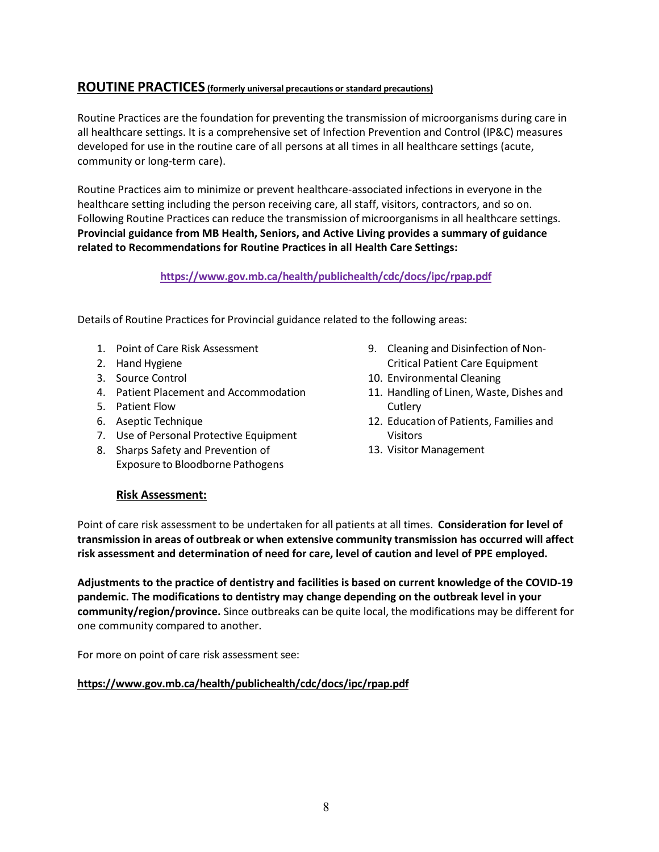## **ROUTINE PRACTICES (formerly universal precautions or standard precautions)**

Routine Practices are the foundation for preventing the transmission of microorganisms during care in all healthcare settings. It is a comprehensive set of Infection Prevention and Control (IP&C) measures developed for use in the routine care of all persons at all times in all healthcare settings (acute, community or long-term care).

Routine Practices aim to minimize or prevent healthcare-associated infections in everyone in the healthcare setting including the person receiving care, all staff, visitors, contractors, and so on. Following Routine Practices can reduce the transmission of microorganisms in all healthcare settings. **Provincial guidance from MB Health, Seniors, and Active Living provides a summary of guidance related to Recommendations for Routine Practices in all Health Care Settings:**

#### **<https://www.gov.mb.ca/health/publichealth/cdc/docs/ipc/rpap.pdf>**

Details of Routine Practices for Provincial guidance related to the following areas:

- 1. Point of Care Risk Assessment
- 2. Hand Hygiene
- 3. Source Control
- 4. Patient Placement and Accommodation
- 5. Patient Flow
- 6. Aseptic Technique
- 7. Use of Personal Protective Equipment
- 8. Sharps Safety and Prevention of Exposure to Bloodborne Pathogens
- 9. Cleaning and Disinfection of Non-Critical Patient Care Equipment
- 10. Environmental Cleaning
- 11. Handling of Linen, Waste, Dishes and **Cutlery**
- 12. Education of Patients, Families and Visitors
- 13. Visitor Management

#### **Risk Assessment:**

Point of care risk assessment to be undertaken for all patients at all times. **Consideration for level of transmission in areas of outbreak or when extensive community transmission has occurred will affect risk assessment and determination of need for care, level of caution and level of PPE employed.**

**Adjustments to the practice of dentistry and facilities is based on current knowledge of the COVID-19 pandemic. The modifications to dentistry may change depending on the outbreak level in your community/region/province.** Since outbreaks can be quite local, the modifications may be different for one community compared to another.

For more on point of care risk assessment see:

#### **<https://www.gov.mb.ca/health/publichealth/cdc/docs/ipc/rpap.pdf>**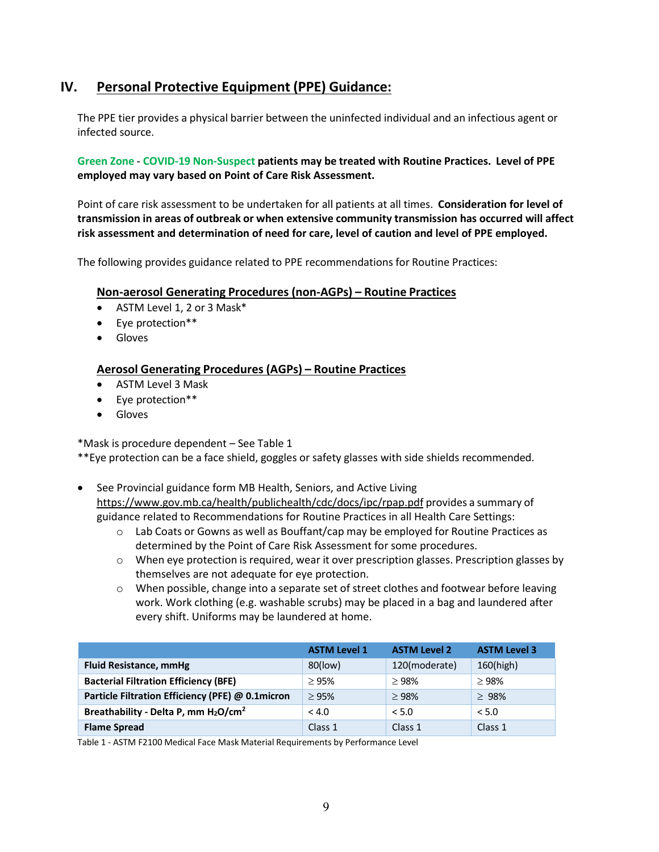# **IV. Personal Protective Equipment (PPE) Guidance:**

The PPE tier provides a physical barrier between the uninfected individual and an infectious agent or infected source.

**Green Zone - COVID-19 Non-Suspect patients may be treated with Routine Practices. Level of PPE employed may vary based on Point of Care Risk Assessment.**

Point of care risk assessment to be undertaken for all patients at all times. **Consideration for level of transmission in areas of outbreak or when extensive community transmission has occurred will affect risk assessment and determination of need for care, level of caution and level of PPE employed.**

The following provides guidance related to PPE recommendations for Routine Practices:

#### **Non-aerosol Generating Procedures (non-AGPs) – Routine Practices**

- ASTM Level 1, 2 or 3 Mask\*
- Eye protection\*\*
- Gloves

#### **Aerosol Generating Procedures (AGPs) – Routine Practices**

- ASTM Level 3 Mask
- Eye protection\*\*
- Gloves

\*Mask is procedure dependent – See Table 1

\*\*Eye protection can be a face shield, goggles or safety glasses with side shields recommended.

- See Provincial guidance form MB Health, Seniors, and Active Living <https://www.gov.mb.ca/health/publichealth/cdc/docs/ipc/rpap.pdf> provides a summary of guidance related to Recommendations for Routine Practices in all Health Care Settings:
	- o Lab Coats or Gowns as well as Bouffant/cap may be employed for Routine Practices as determined by the Point of Care Risk Assessment for some procedures.
	- $\circ$  When eye protection is required, wear it over prescription glasses. Prescription glasses by themselves are not adequate for eye protection.
	- o When possible, change into a separate set of street clothes and footwear before leaving work. Work clothing (e.g. washable scrubs) may be placed in a bag and laundered after every shift. Uniforms may be laundered at home.

|                                                              | <b>ASTM Level 1</b> | <b>ASTM Level 2</b> | <b>ASTM Level 3</b> |
|--------------------------------------------------------------|---------------------|---------------------|---------------------|
| <b>Fluid Resistance, mmHg</b>                                | 80(low)             | 120(moderate)       | $160$ (high)        |
| <b>Bacterial Filtration Efficiency (BFE)</b>                 | $\geq$ 95%          | $\geq$ 98%          | $\geq$ 98%          |
| Particle Filtration Efficiency (PFE) @ 0.1micron             | $\geq$ 95%          | $\geq$ 98%          | $\geq 98\%$         |
| Breathability - Delta P, mm H <sub>2</sub> O/cm <sup>2</sup> | < 4.0               | < 5.0               | < 5.0               |
| <b>Flame Spread</b>                                          | Class 1             | Class 1             | Class 1             |

Table 1 - ASTM F2100 Medical Face Mask Material Requirements by Performance Level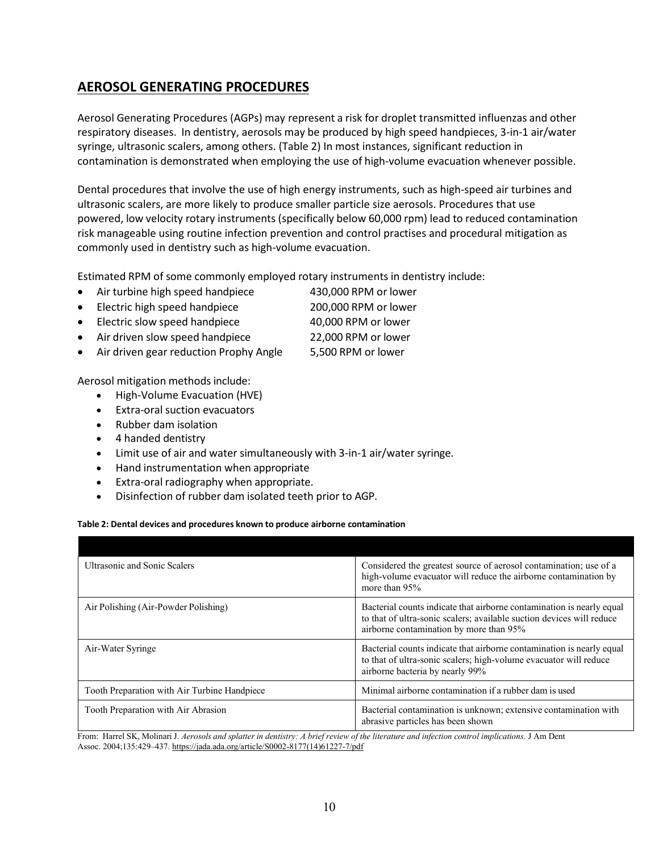# **AEROSOL GENERATING PROCEDURES**

Aerosol Generating Procedures (AGPs) may represent a risk for droplet transmitted influenzas and other respiratory diseases. In dentistry, aerosols may be produced by high speed handpieces, 3-in-1 air/water syringe, ultrasonic scalers, among others. (Table 2) In most instances, significant reduction in contamination is demonstrated when employing the use of high-volume evacuation whenever possible.

Dental procedures that involve the use of high energy instruments, such as high-speed air turbines and ultrasonic scalers, are more likely to produce smaller particle size aerosols. Procedures that use powered, low velocity rotary instruments (specifically below 60,000 rpm) lead to reduced contamination risk manageable using routine infection prevention and control practises and procedural mitigation as commonly used in dentistry such as high-volume evacuation.

Estimated RPM of some commonly employed rotary instruments in dentistry include:

- Air turbine high speed handpiece 430,000 RPM or lower
- Electric high speed handpiece 200,000 RPM or lower
- Electric slow speed handpiece 40,000 RPM or lower
- Air driven slow speed handpiece 22,000 RPM or lower
- Air driven gear reduction Prophy Angle 5,500 RPM or lower

Aerosol mitigation methods include:

- High-Volume Evacuation (HVE)
- Extra-oral suction evacuators
- Rubber dam isolation
- 4 handed dentistry
- Limit use of air and water simultaneously with 3-in-1 air/water syringe.
- Hand instrumentation when appropriate
- Extra-oral radiography when appropriate.
- Disinfection of rubber dam isolated teeth prior to AGP.

#### **Table 2: Dental devices and procedures known to produce airborne contamination**

| <b>Ultrasonic and Sonic Scalers</b>          | Considered the greatest source of aerosol contamination; use of a<br>high-volume evacuator will reduce the airborne contamination by<br>more than 95%                                     |  |
|----------------------------------------------|-------------------------------------------------------------------------------------------------------------------------------------------------------------------------------------------|--|
| Air Polishing (Air-Powder Polishing)         | Bacterial counts indicate that airborne contamination is nearly equal<br>to that of ultra-sonic scalers; available suction devices will reduce<br>airborne contamination by more than 95% |  |
| Air-Water Syringe                            | Bacterial counts indicate that airborne contamination is nearly equal<br>to that of ultra-sonic scalers; high-volume evacuator will reduce<br>airborne bacteria by nearly 99%             |  |
| Tooth Preparation with Air Turbine Handpiece | Minimal airborne contamination if a rubber dam is used                                                                                                                                    |  |
| Tooth Preparation with Air Abrasion          | Bacterial contamination is unknown; extensive contamination with<br>abrasive particles has been shown                                                                                     |  |

From: Harrel SK, Molinari J. Aerosols and splatter in dentistry: A brief review of the literature and infection control implications. J Am Dent Assoc. 2004;135:429–437[. https://jada.ada.org/article/S0002-8177\(14\)61227-7/pdf](https://jada.ada.org/article/S0002-8177(14)61227-7/pdf)

- 
- 
- 
- 
- 
- 
- 
- 
-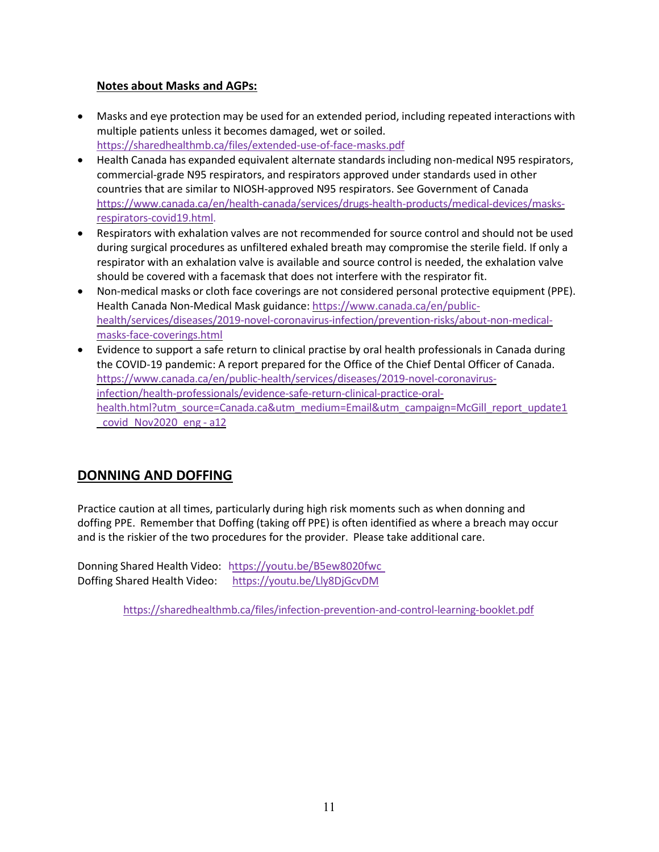## **Notes about Masks and AGPs:**

- Masks and eye protection may be used for an extended period, including repeated interactions with multiple patients unless it becomes damaged, wet or soiled. <https://sharedhealthmb.ca/files/extended-use-of-face-masks.pdf>
- Health Canada has expanded equivalent alternate standards including non-medical N95 respirators, commercial-grade N95 respirators, and respirators approved under standards used in other countries that are similar to NIOSH-approved N95 respirators. See Government of Canada [https://www.canada.ca/en/health-canada/services/drugs-health-products/medical-devices/masks](https://www.canada.ca/en/health-canada/services/drugs-health-products/medical-devices/masks-respirators-covid19.html)[respirators-covid19.html.](https://www.canada.ca/en/health-canada/services/drugs-health-products/medical-devices/masks-respirators-covid19.html)
- Respirators with exhalation valves are not recommended for source control and should not be used during surgical procedures as unfiltered exhaled breath may compromise the sterile field. If only a respirator with an exhalation valve is available and source control is needed, the exhalation valve should be covered with a facemask that does not interfere with the respirator fit.
- Non-medical masks or cloth face coverings are not considered personal protective equipment (PPE). Health Canada Non-Medical Mask guidance: [https://www.canada.ca/en/public](https://www.canada.ca/en/public-health/services/diseases/2019-novel-coronavirus-infection/prevention-risks/about-non-medical-masks-face-coverings.html)[health/services/diseases/2019-novel-coronavirus-infection/prevention-risks/about-non-medical](https://www.canada.ca/en/public-health/services/diseases/2019-novel-coronavirus-infection/prevention-risks/about-non-medical-masks-face-coverings.html)[masks-face-coverings.html](https://www.canada.ca/en/public-health/services/diseases/2019-novel-coronavirus-infection/prevention-risks/about-non-medical-masks-face-coverings.html)
- Evidence to support a safe return to clinical practise by oral health professionals in Canada during the COVID-19 pandemic: A report prepared for the Office of the Chief Dental Officer of Canada. [https://www.canada.ca/en/public-health/services/diseases/2019-novel-coronavirus](https://www.canada.ca/en/public-health/services/diseases/2019-novel-coronavirus-infection/health-professionals/evidence-safe-return-clinical-practice-oral-health.html?utm_source=Canada.ca&utm_medium=Email&utm_campaign=McGill_report_update1_covid_Nov2020_eng&a12)[infection/health-professionals/evidence-safe-return-clinical-practice-oral](https://www.canada.ca/en/public-health/services/diseases/2019-novel-coronavirus-infection/health-professionals/evidence-safe-return-clinical-practice-oral-health.html?utm_source=Canada.ca&utm_medium=Email&utm_campaign=McGill_report_update1_covid_Nov2020_eng&a12)[health.html?utm\\_source=Canada.ca&utm\\_medium=Email&utm\\_campaign=McGill\\_report\\_update1](https://www.canada.ca/en/public-health/services/diseases/2019-novel-coronavirus-infection/health-professionals/evidence-safe-return-clinical-practice-oral-health.html?utm_source=Canada.ca&utm_medium=Email&utm_campaign=McGill_report_update1_covid_Nov2020_eng&a12) [\\_covid\\_Nov2020\\_eng - a12](https://www.canada.ca/en/public-health/services/diseases/2019-novel-coronavirus-infection/health-professionals/evidence-safe-return-clinical-practice-oral-health.html?utm_source=Canada.ca&utm_medium=Email&utm_campaign=McGill_report_update1_covid_Nov2020_eng&a12)

## **DONNING AND DOFFING**

Practice caution at all times, particularly during high risk moments such as when donning and doffing PPE. Remember that Doffing (taking off PPE) is often identified as where a breach may occur and is the riskier of the two procedures for the provider. Please take additional care.

Donning Shared Health Video: <https://youtu.be/B5ew8020fwc> Doffing Shared Health Video: <https://youtu.be/Lly8DjGcvDM>

<https://sharedhealthmb.ca/files/infection-prevention-and-control-learning-booklet.pdf>